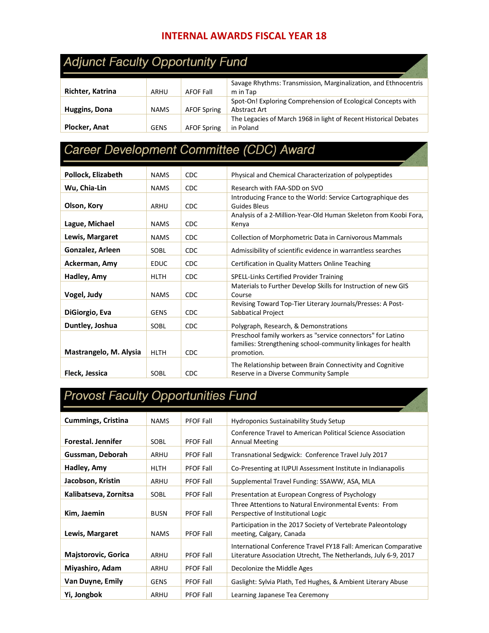#### **INTERNAL AWARDS FISCAL YEAR 18**

#### **Adjunct Faculty Opportunity Fund**

|                      |             |                    | Savage Rhythms: Transmission, Marginalization, and Ethnocentris  |
|----------------------|-------------|--------------------|------------------------------------------------------------------|
| Richter, Katrina     | ARHU        | <b>AFOF Fall</b>   | m in Tap                                                         |
|                      |             |                    | Spot-On! Exploring Comprehension of Ecological Concepts with     |
| <b>Huggins, Dona</b> | <b>NAMS</b> | <b>AFOF Spring</b> | Abstract Art                                                     |
|                      |             |                    | The Legacies of March 1968 in light of Recent Historical Debates |
| Plocker, Anat        | GENS        | <b>AFOF Spring</b> | in Poland                                                        |

# Career Development Committee (CDC) Award

| Pollock, Elizabeth     | <b>NAMS</b> | <b>CDC</b> | Physical and Chemical Characterization of polypeptides                                                                                    |
|------------------------|-------------|------------|-------------------------------------------------------------------------------------------------------------------------------------------|
| Wu, Chia-Lin           | <b>NAMS</b> | <b>CDC</b> | Research with FAA-SDD on SVO                                                                                                              |
| Olson, Kory            | ARHU        | <b>CDC</b> | Introducing France to the World: Service Cartographique des<br>Guides Bleus                                                               |
| Lague, Michael         | <b>NAMS</b> | <b>CDC</b> | Analysis of a 2-Million-Year-Old Human Skeleton from Koobi Fora,<br>Kenya                                                                 |
| Lewis, Margaret        | <b>NAMS</b> | <b>CDC</b> | Collection of Morphometric Data in Carnivorous Mammals                                                                                    |
| Gonzalez, Arleen       | SOBL        | <b>CDC</b> | Admissibility of scientific evidence in warrantless searches                                                                              |
| Ackerman, Amy          | <b>EDUC</b> | <b>CDC</b> | Certification in Quality Matters Online Teaching                                                                                          |
| Hadley, Amy            | <b>HLTH</b> | <b>CDC</b> | <b>SPELL-Links Certified Provider Training</b>                                                                                            |
| Vogel, Judy            | <b>NAMS</b> | <b>CDC</b> | Materials to Further Develop Skills for Instruction of new GIS<br>Course                                                                  |
| DiGiorgio, Eva         | <b>GENS</b> | <b>CDC</b> | Revising Toward Top-Tier Literary Journals/Presses: A Post-<br>Sabbatical Project                                                         |
| Duntley, Joshua        | SOBL        | CDC        | Polygraph, Research, & Demonstrations                                                                                                     |
| Mastrangelo, M. Alysia | <b>HLTH</b> | <b>CDC</b> | Preschool family workers as "service connectors" for Latino<br>families: Strengthening school-community linkages for health<br>promotion. |
| Fleck, Jessica         | <b>SOBL</b> | <b>CDC</b> | The Relationship between Brain Connectivity and Cognitive<br>Reserve in a Diverse Community Sample                                        |

### **Provost Faculty Opportunities Fund**

| <b>Cummings, Cristina</b>  | <b>NAMS</b> | <b>PFOF Fall</b> | <b>Hydroponics Sustainability Study Setup</b>                                                                                      |
|----------------------------|-------------|------------------|------------------------------------------------------------------------------------------------------------------------------------|
| Forestal. Jennifer         | SOBL        | <b>PFOF Fall</b> | Conference Travel to American Political Science Association<br><b>Annual Meeting</b>                                               |
| Gussman, Deborah           | ARHU        | <b>PFOF Fall</b> | Transnational Sedgwick: Conference Travel July 2017                                                                                |
| Hadley, Amy                | <b>HLTH</b> | <b>PFOF Fall</b> | Co-Presenting at IUPUI Assessment Institute in Indianapolis                                                                        |
| Jacobson, Kristin          | ARHU        | <b>PFOF Fall</b> | Supplemental Travel Funding: SSAWW, ASA, MLA                                                                                       |
| Kalibatseva, Zornitsa      | SOBL        | <b>PFOF Fall</b> | Presentation at European Congress of Psychology                                                                                    |
| Kim, Jaemin                | <b>BUSN</b> | <b>PFOF Fall</b> | Three Attentions to Natural Environmental Events: From<br>Perspective of Institutional Logic                                       |
| Lewis, Margaret            | <b>NAMS</b> | <b>PFOF Fall</b> | Participation in the 2017 Society of Vertebrate Paleontology<br>meeting, Calgary, Canada                                           |
| <b>Majstorovic, Gorica</b> | ARHU        | <b>PFOF Fall</b> | International Conference Travel FY18 Fall: American Comparative<br>Literature Association Utrecht, The Netherlands, July 6-9, 2017 |
| Miyashiro, Adam            | ARHU        | <b>PFOF Fall</b> | Decolonize the Middle Ages                                                                                                         |
| Van Duyne, Emily           | <b>GENS</b> | <b>PFOF Fall</b> | Gaslight: Sylvia Plath, Ted Hughes, & Ambient Literary Abuse                                                                       |
| Yi, Jongbok                | ARHU        | <b>PFOF Fall</b> | Learning Japanese Tea Ceremony                                                                                                     |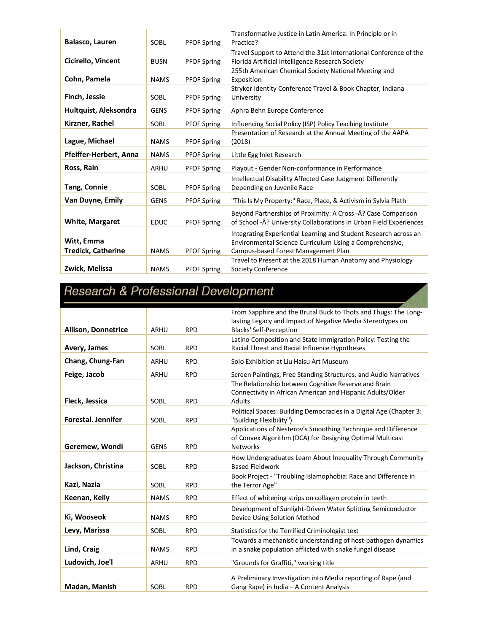|                                         |             |                    | Transformative Justice in Latin America: In Principle or in                                                                                                        |
|-----------------------------------------|-------------|--------------------|--------------------------------------------------------------------------------------------------------------------------------------------------------------------|
| Balasco, Lauren                         | <b>SOBL</b> | <b>PFOF Spring</b> | Practice?                                                                                                                                                          |
| Cicirello, Vincent                      | <b>BUSN</b> | <b>PFOF Spring</b> | Travel Support to Attend the 31st International Conference of the<br>Florida Artificial Intelligence Research Society                                              |
| Cohn, Pamela                            | <b>NAMS</b> | <b>PFOF Spring</b> | 255th American Chemical Society National Meeting and<br>Exposition                                                                                                 |
| <b>Finch, Jessie</b>                    | SOBL        | <b>PFOF Spring</b> | Stryker Identity Conference Travel & Book Chapter, Indiana<br>University                                                                                           |
| Hultquist, Aleksondra                   | <b>GENS</b> | <b>PFOF Spring</b> | Aphra Behn Europe Conference                                                                                                                                       |
| Kirzner, Rachel                         | SOBL        | <b>PFOF Spring</b> | Influencing Social Policy (ISP) Policy Teaching Institute                                                                                                          |
| Lague, Michael                          | <b>NAMS</b> | <b>PFOF Spring</b> | Presentation of Research at the Annual Meeting of the AAPA<br>(2018)                                                                                               |
| Pfeiffer-Herbert, Anna                  | <b>NAMS</b> | <b>PFOF Spring</b> | Little Egg Inlet Research                                                                                                                                          |
| Ross, Rain                              | ARHU        | <b>PFOF Spring</b> | Playout - Gender Non-conformance in Performance                                                                                                                    |
| <b>Tang, Connie</b>                     | SOBL        | <b>PFOF Spring</b> | Intellectual Disability Affected Case Judgment Differently<br>Depending on Juvenile Race                                                                           |
| Van Duyne, Emily                        | <b>GENS</b> | <b>PFOF Spring</b> | "This Is My Property:" Race, Place, & Activism in Sylvia Plath                                                                                                     |
| <b>White, Margaret</b>                  | <b>EDUC</b> | <b>PFOF Spring</b> | Beyond Partnerships of Proximity: A Cross - Â? Case Comparison<br>of School -Â? University Collaborations in Urban Field Experiences                               |
| Witt, Emma<br><b>Tredick, Catherine</b> | <b>NAMS</b> | <b>PFOF Spring</b> | Integrating Experiential Learning and Student Research across an<br>Environmental Science Curriculum Using a Comprehensive,<br>Campus-based Forest Management Plan |
| Zwick, Melissa                          | <b>NAMS</b> | <b>PFOF Spring</b> | Travel to Present at the 2018 Human Anatomy and Physiology<br>Society Conference                                                                                   |

## Research & Professional Development

|                           |             |            | From Sapphire and the Brutal Buck to Thots and Thugs: The Long-                                               |
|---------------------------|-------------|------------|---------------------------------------------------------------------------------------------------------------|
|                           |             |            | lasting Legacy and Impact of Negative Media Stereotypes on                                                    |
| Allison, Donnetrice       | <b>ARHU</b> | <b>RPD</b> | <b>Blacks' Self-Perception</b>                                                                                |
| Avery, James              | SOBL        | <b>RPD</b> | Latino Composition and State Immigration Policy: Testing the<br>Racial Threat and Racial Influence Hypotheses |
|                           |             |            |                                                                                                               |
| Chang, Chung-Fan          | ARHU        | <b>RPD</b> | Solo Exhibition at Liu Haisu Art Museum                                                                       |
| Feige, Jacob              | ARHU        | <b>RPD</b> | Screen Paintings, Free Standing Structures, and Audio Narratives                                              |
|                           |             |            | The Relationship between Cognitive Reserve and Brain                                                          |
| Fleck, Jessica            | SOBL        | <b>RPD</b> | Connectivity in African American and Hispanic Adults/Older<br>Adults                                          |
| <b>Forestal. Jennifer</b> |             |            | Political Spaces: Building Democracies in a Digital Age (Chapter 3:                                           |
|                           | SOBL        | <b>RPD</b> | "Building Flexibility")<br>Applications of Nesterov's Smoothing Technique and Difference                      |
|                           |             |            | of Convex Algorithm (DCA) for Designing Optimal Multicast                                                     |
| Geremew, Wondi            | <b>GENS</b> | <b>RPD</b> | <b>Networks</b>                                                                                               |
|                           |             |            | How Undergraduates Learn About Inequality Through Community                                                   |
| Jackson, Christina        | SOBL        | <b>RPD</b> | <b>Based Fieldwork</b>                                                                                        |
|                           |             |            | Book Project - "Troubling Islamophobia: Race and Difference in                                                |
| Kazi, Nazia               | SOBL        | <b>RPD</b> | the Terror Age"                                                                                               |
| Keenan, Kelly             | <b>NAMS</b> | <b>RPD</b> | Effect of whitening strips on collagen protein in teeth                                                       |
|                           |             |            | Development of Sunlight-Driven Water Splitting Semiconductor                                                  |
| Ki, Wooseok               | <b>NAMS</b> | <b>RPD</b> | Device Using Solution Method                                                                                  |
| Levy, Marissa             | SOBL        | <b>RPD</b> | Statistics for the Terrified Criminologist text                                                               |
|                           |             |            | Towards a mechanistic understanding of host-pathogen dynamics                                                 |
| Lind, Craig               | <b>NAMS</b> | <b>RPD</b> | in a snake population afflicted with snake fungal disease                                                     |
| Ludovich, Joe'l           | <b>ARHU</b> | <b>RPD</b> | "Grounds for Graffiti," working title                                                                         |
|                           |             |            | A Preliminary Investigation into Media reporting of Rape (and                                                 |
| Madan, Manish             | SOBL        | <b>RPD</b> | Gang Rape) in India - A Content Analysis                                                                      |
|                           |             |            |                                                                                                               |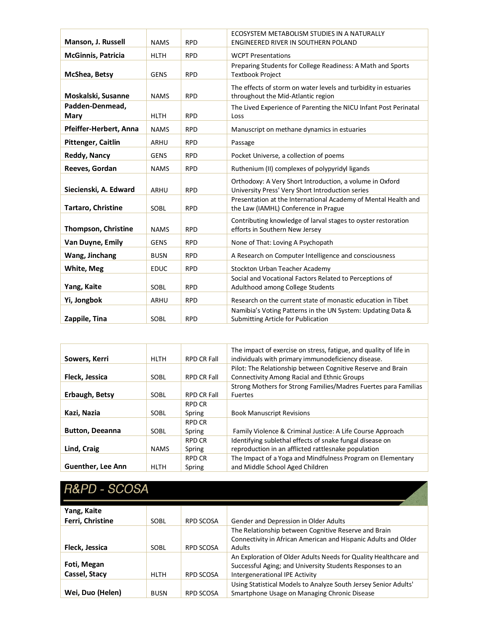| Manson, J. Russell         | <b>NAMS</b> | <b>RPD</b> | ECOSYSTEM METABOLISM STUDIES IN A NATURALLY<br>ENGINEERED RIVER IN SOUTHERN POLAND                           |
|----------------------------|-------------|------------|--------------------------------------------------------------------------------------------------------------|
|                            |             |            |                                                                                                              |
| <b>McGinnis, Patricia</b>  | <b>HLTH</b> | <b>RPD</b> | <b>WCPT Presentations</b>                                                                                    |
| McShea, Betsy              | <b>GENS</b> | <b>RPD</b> | Preparing Students for College Readiness: A Math and Sports<br><b>Textbook Project</b>                       |
| Moskalski, Susanne         | <b>NAMS</b> | <b>RPD</b> | The effects of storm on water levels and turbidity in estuaries<br>throughout the Mid-Atlantic region        |
| Padden-Denmead,<br>Mary    | <b>HLTH</b> | <b>RPD</b> | The Lived Experience of Parenting the NICU Infant Post Perinatal<br>Loss                                     |
| Pfeiffer-Herbert, Anna     | <b>NAMS</b> | <b>RPD</b> | Manuscript on methane dynamics in estuaries                                                                  |
| Pittenger, Caitlin         | ARHU        | <b>RPD</b> | Passage                                                                                                      |
| <b>Reddy, Nancy</b>        | <b>GENS</b> | <b>RPD</b> | Pocket Universe, a collection of poems                                                                       |
| Reeves, Gordan             | <b>NAMS</b> | <b>RPD</b> | Ruthenium (II) complexes of polypyridyl ligands                                                              |
| Siecienski, A. Edward      | ARHU        | <b>RPD</b> | Orthodoxy: A Very Short Introduction, a volume in Oxford<br>University Press' Very Short Introduction series |
| Tartaro, Christine         | SOBL        | <b>RPD</b> | Presentation at the International Academy of Mental Health and<br>the Law (IAMHL) Conference in Prague       |
| <b>Thompson, Christine</b> | <b>NAMS</b> | <b>RPD</b> | Contributing knowledge of larval stages to oyster restoration<br>efforts in Southern New Jersey              |
| Van Duyne, Emily           | <b>GENS</b> | <b>RPD</b> | None of That: Loving A Psychopath                                                                            |
| Wang, Jinchang             | <b>BUSN</b> | <b>RPD</b> | A Research on Computer Intelligence and consciousness                                                        |
| White, Meg                 | <b>EDUC</b> | <b>RPD</b> | Stockton Urban Teacher Academy                                                                               |
| Yang, Kaite                | SOBL        | <b>RPD</b> | Social and Vocational Factors Related to Perceptions of<br>Adulthood among College Students                  |
| Yi, Jongbok                | ARHU        | <b>RPD</b> | Research on the current state of monastic education in Tibet                                                 |
| Zappile, Tina              | SOBL        | <b>RPD</b> | Namibia's Voting Patterns in the UN System: Updating Data &<br>Submitting Article for Publication            |

|                        |             |                    | The impact of exercise on stress, fatigue, and quality of life in |
|------------------------|-------------|--------------------|-------------------------------------------------------------------|
| Sowers, Kerri          | <b>HLTH</b> | <b>RPD CR Fall</b> | individuals with primary immunodeficiency disease.                |
|                        |             |                    | Pilot: The Relationship between Cognitive Reserve and Brain       |
| Fleck, Jessica         | SOBL        | <b>RPD CR Fall</b> | <b>Connectivity Among Racial and Ethnic Groups</b>                |
|                        |             |                    | Strong Mothers for Strong Families/Madres Fuertes para Familias   |
| Erbaugh, Betsy         | <b>SOBL</b> | <b>RPD CR Fall</b> | <b>Fuertes</b>                                                    |
|                        |             | <b>RPD CR</b>      |                                                                   |
| Kazi, Nazia            | SOBL        | Spring             | <b>Book Manuscript Revisions</b>                                  |
|                        |             | <b>RPD CR</b>      |                                                                   |
| <b>Button, Deeanna</b> | SOBL        | Spring             | Family Violence & Criminal Justice: A Life Course Approach        |
|                        |             | <b>RPD CR</b>      | Identifying sublethal effects of snake fungal disease on          |
| Lind, Craig            | <b>NAMS</b> | Spring             | reproduction in an afflicted rattlesnake population               |
|                        |             | <b>RPD CR</b>      | The Impact of a Yoga and Mindfulness Program on Elementary        |
| Guenther, Lee Ann      | <b>HLTH</b> | Spring             | and Middle School Aged Children                                   |

# R&PD - SCOSA

| Yang, Kaite      |             |                  |                                                                 |
|------------------|-------------|------------------|-----------------------------------------------------------------|
| Ferri, Christine | <b>SOBL</b> | <b>RPD SCOSA</b> | Gender and Depression in Older Adults                           |
|                  |             |                  | The Relationship between Cognitive Reserve and Brain            |
|                  |             |                  | Connectivity in African American and Hispanic Adults and Older  |
| Fleck, Jessica   | <b>SOBL</b> | <b>RPD SCOSA</b> | <b>Adults</b>                                                   |
|                  |             |                  | An Exploration of Older Adults Needs for Quality Healthcare and |
| Foti, Megan      |             |                  | Successful Aging; and University Students Responses to an       |
| Cassel, Stacy    | <b>HLTH</b> | <b>RPD SCOSA</b> | Intergenerational IPE Activity                                  |
|                  |             |                  | Using Statistical Models to Analyze South Jersey Senior Adults' |
| Wei, Duo (Helen) | <b>BUSN</b> | <b>RPD SCOSA</b> | Smartphone Usage on Managing Chronic Disease                    |